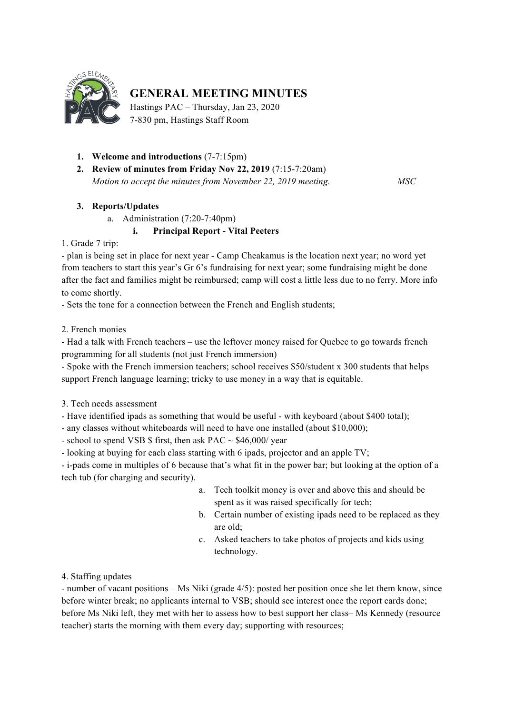

# **GENERAL MEETING MINUTES**

Hastings PAC – Thursday, Jan 23, 2020 7-830 pm, Hastings Staff Room

- **1. Welcome and introductions** (7-7:15pm)
- **2. Review of minutes from Friday Nov 22, 2019** (7:15-7:20am) *Motion to accept the minutes from November 22, 2019 meeting. MSC*

## **3. Reports/Updates**

a. Administration (7:20-7:40pm)

# **i. Principal Report - Vital Peeters**

1. Grade 7 trip:

- plan is being set in place for next year - Camp Cheakamus is the location next year; no word yet from teachers to start this year's Gr 6's fundraising for next year; some fundraising might be done after the fact and families might be reimbursed; camp will cost a little less due to no ferry. More info to come shortly.

- Sets the tone for a connection between the French and English students;

2. French monies

- Had a talk with French teachers – use the leftover money raised for Quebec to go towards french programming for all students (not just French immersion)

- Spoke with the French immersion teachers; school receives \$50/student x 300 students that helps support French language learning; tricky to use money in a way that is equitable.

3. Tech needs assessment

- Have identified ipads as something that would be useful - with keyboard (about \$400 total);

- any classes without whiteboards will need to have one installed (about \$10,000);

- school to spend VSB  $\$$  first, then ask PAC  $\sim$  \$46,000/ year

- looking at buying for each class starting with 6 ipads, projector and an apple TV;

- i-pads come in multiples of 6 because that's what fit in the power bar; but looking at the option of a tech tub (for charging and security).

- a. Tech toolkit money is over and above this and should be spent as it was raised specifically for tech;
- b. Certain number of existing ipads need to be replaced as they are old;
- c. Asked teachers to take photos of projects and kids using technology.

4. Staffing updates

- number of vacant positions – Ms Niki (grade 4/5): posted her position once she let them know, since before winter break; no applicants internal to VSB; should see interest once the report cards done; before Ms Niki left, they met with her to assess how to best support her class– Ms Kennedy (resource teacher) starts the morning with them every day; supporting with resources;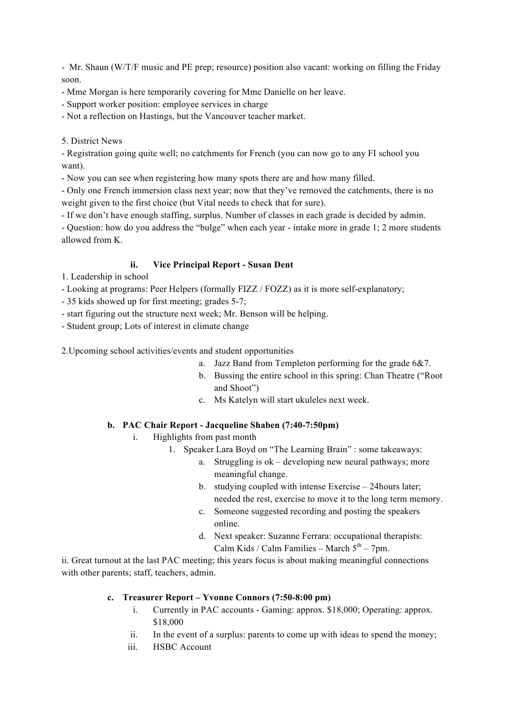- Mr. Shaun (W/T/F music and PE prep; resource) position also vacant: working on filling the Friday soon.

- Mme Morgan is here temporarily covering for Mme Danielle on her leave.

- Support worker position: employee services in charge

- Not a reflection on Hastings, but the Vancouver teacher market.

5. District News

- Registration going quite well; no catchments for French (you can now go to any FI school you want).

- Now you can see when registering how many spots there are and how many filled.

- Only one French immersion class next year; now that they've removed the catchments, there is no weight given to the first choice (but Vital needs to check that for sure).

- If we don't have enough staffing, surplus. Number of classes in each grade is decided by admin.

- Question: how do you address the "bulge" when each year - intake more in grade 1; 2 more students allowed from K.

## **ii. Vice Principal Report - Susan Dent**

1. Leadership in school

- Looking at programs: Peer Helpers (formally FIZZ / FOZZ) as it is more self-explanatory;

- 35 kids showed up for first meeting; grades 5-7;

- start figuring out the structure next week; Mr. Benson will be helping.

- Student group; Lots of interest in climate change

2.Upcoming school activities/events and student opportunities

- a. Jazz Band from Templeton performing for the grade 6&7.
- b. Bussing the entire school in this spring: Chan Theatre ("Root and Shoot")
- c. Ms Katelyn will start ukuleles next week.

# **b. PAC Chair Report - Jacqueline Shaben (7:40-7:50pm)**

- i. Highlights from past month
	- 1. Speaker Lara Boyd on "The Learning Brain" : some takeaways:
		- a. Struggling is ok developing new neural pathways; more meaningful change.
		- b. studying coupled with intense Exercise 24hours later; needed the rest, exercise to move it to the long term memory.
		- c. Someone suggested recording and posting the speakers online.
		- d. Next speaker: Suzanne Ferrara: occupational therapists: Calm Kids / Calm Families – March  $5<sup>th</sup>$  – 7pm.

ii. Great turnout at the last PAC meeting; this years focus is about making meaningful connections with other parents; staff, teachers, admin.

### **c. Treasurer Report – Yvonne Connors (7:50-8:00 pm)**

- i. Currently in PAC accounts Gaming: approx. \$18,000; Operating: approx. \$18,000
- ii. In the event of a surplus: parents to come up with ideas to spend the money;
- iii. HSBC Account